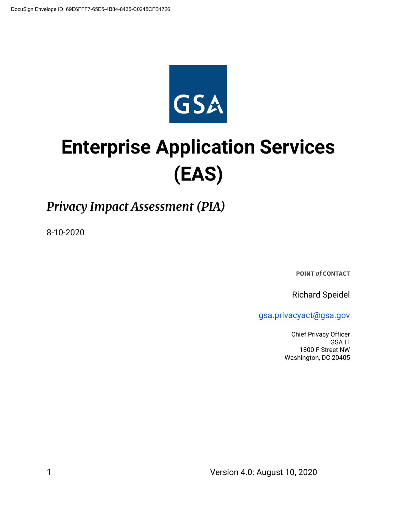

# **Enterprise Application Services (EAS)**

# *Privacy Impact Assessment (PIA)*

8-10-2020

**POINT** *of* **CONTACT**

Richard Speidel

[gsa.privacyact@gsa.gov](mailto:gsa.privacyact@gsa.gov)

Chief Privacy Officer GSA IT 1800 F Street NW Washington, DC 20405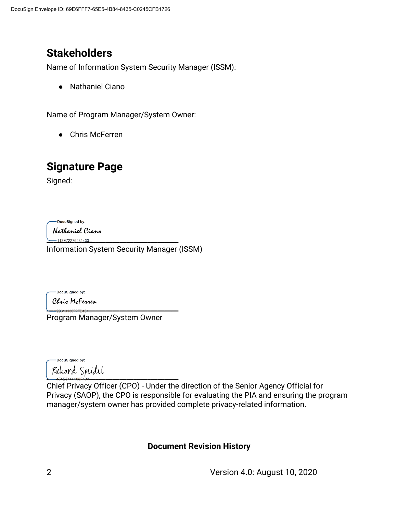# **Stakeholders**

Name of Information System Security Manager (ISSM):

● Nathaniel Ciano

Name of Program Manager/System Owner:

● Chris McFerren

# **Signature Page**

Signed:

DocuSigned by:

Nathaniel Ciano

\_<br>-113E72276281433... Information System Security Manager (ISSM)

-DocuSigned by:

Chris McFerren

**\_\_\_\_\_\_\_\_\_\_\_\_\_\_\_\_\_\_\_\_\_\_\_\_\_\_\_\_\_\_\_\_\_\_\_\_\_\_** Program Manager/System Owner

-DocuSigned by: **\_\_\_\_\_\_\_\_\_\_\_\_\_\_\_\_\_\_\_\_\_\_\_\_\_\_\_\_\_\_\_\_\_\_\_\_\_\_**

Chief Privacy Officer (CPO) - Under the direction of the Senior Agency Official for Privacy (SAOP), the CPO is responsible for evaluating the PIA and ensuring the program manager/system owner has provided complete privacy-related information.

## **Document Revision History**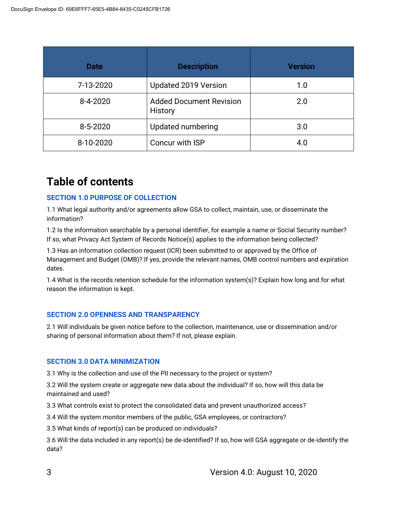| <b>Date</b> | <b>Description</b>                        | <b>Version</b> |
|-------------|-------------------------------------------|----------------|
| 7-13-2020   | Updated 2019 Version                      | 1.0            |
| 8-4-2020    | <b>Added Document Revision</b><br>History | 2.0            |
| 8-5-2020    | <b>Updated numbering</b>                  | 3.0            |
| 8-10-2020   | Concur with ISP                           | 4.0            |

# **Table of contents**

#### **SECTION 1.0 PURPOSE OF COLLECTION**

1.1 What legal authority and/or agreements allow GSA to collect, maintain, use, or disseminate the information?

1.2 Is the information searchable by a personal identifier, for example a name or Social Security number? If so, what Privacy Act System of Records Notice(s) applies to the information being collected?

1.3 Has an information collection request (ICR) been submitted to or approved by the Office of Management and Budget (OMB)? If yes, provide the relevant names, OMB control numbers and expiration dates.

1.4 What is the records retention schedule for the information system(s)? Explain how long and for what reason the information is kept.

#### **SECTION 2.0 OPENNESS AND TRANSPARENCY**

2.1 Will individuals be given notice before to the collection, maintenance, use or dissemination and/or sharing of personal information about them? If not, please explain.

#### **SECTION 3.0 DATA MINIMIZATION**

3.1 Why is the collection and use of the PII necessary to the project or system?

3.2 Will the system create or aggregate new data about the individual? If so, how will this data be maintained and used?

3.3 What controls exist to protect the consolidated data and prevent unauthorized access?

3.4 Will the system monitor members of the public, GSA employees, or contractors?

3.5 What kinds of report(s) can be produced on individuals?

3.6 Will the data included in any report(s) be de-identified? If so, how will GSA aggregate or de-identify the data?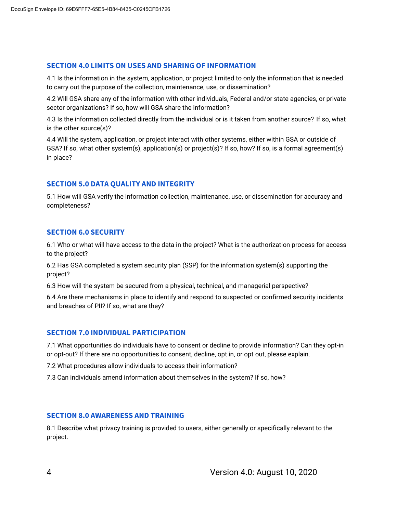#### **SECTION 4.0 LIMITS ON USES AND SHARING OF INFORMATION**

4.1 Is the information in the system, application, or project limited to only the information that is needed to carry out the purpose of the collection, maintenance, use, or dissemination?

4.2 Will GSA share any of the information with other individuals, Federal and/or state agencies, or private sector organizations? If so, how will GSA share the information?

4.3 Is the information collected directly from the individual or is it taken from another source? If so, what is the other source(s)?

4.4 Will the system, application, or project interact with other systems, either within GSA or outside of GSA? If so, what other system(s), application(s) or project(s)? If so, how? If so, is a formal agreement(s) in place?

#### **SECTION 5.0 DATA QUALITY AND INTEGRITY**

5.1 How will GSA verify the information collection, maintenance, use, or dissemination for accuracy and completeness?

#### **SECTION 6.0 SECURITY**

6.1 Who or what will have access to the data in the project? What is the authorization process for access to the project?

6.2 Has GSA completed a system security plan (SSP) for the information system(s) supporting the project?

6.3 How will the system be secured from a physical, technical, and managerial perspective?

6.4 Are there mechanisms in place to identify and respond to suspected or confirmed security incidents and breaches of PII? If so, what are they?

#### **SECTION 7.0 INDIVIDUAL PARTICIPATION**

7.1 What opportunities do individuals have to consent or decline to provide information? Can they opt-in or opt-out? If there are no opportunities to consent, decline, opt in, or opt out, please explain.

7.2 What procedures allow individuals to access their information?

7.3 Can individuals amend information about themselves in the system? If so, how?

#### **SECTION 8.0 AWARENESS AND TRAINING**

8.1 Describe what privacy training is provided to users, either generally or specifically relevant to the project.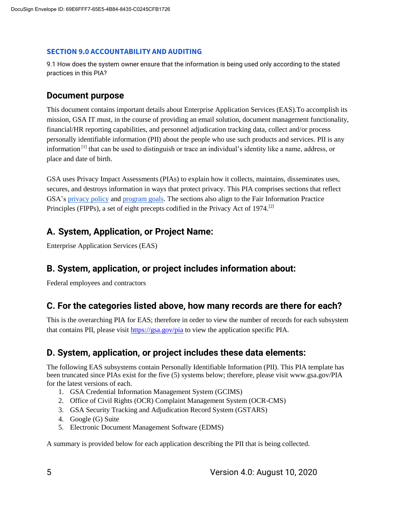#### **SECTION 9.0 ACCOUNTABILITY AND AUDITING**

9.1 How does the system owner ensure that the information is being used only according to the stated practices in this PIA?

### **Document purpose**

This document contains important details about Enterprise Application Services (EAS).To accomplish its mission, GSA IT must, in the course of providing an email solution, document management functionality, financial/HR reporting capabilities, and personnel adjudication tracking data, collect and/or process personally identifiable information (PII) about the people who use such products and services. PII is any information [1] that can be used to distinguish or trace an individual's identity like a name, address, or place and date of birth.

GSA uses Privacy Impact Assessments (PIAs) to explain how it collects, maintains, disseminates uses, secures, and destroys information in ways that protect privacy. This PIA comprises sections that reflect GSA's [privacy policy](https://www.gsa.gov/website-information/privacy-and-security-notice) an[d](https://www.gsa.gov/portal/category/21419) [program goals.](https://www.gsa.gov/portal/category/21419) The sections also align to the Fair Information Practice Principles (FIPPs), a set of eight precepts codified in the Privacy Act of 1974.<sup>[2]</sup>

# **A. System, Application, or Project Name:**

Enterprise Application Services (EAS)

## **B. System, application, or project includes information about:**

Federal employees and contractors

## **C. For the categories listed above, how many records are there for each?**

This is the overarching PIA for EAS; therefore in order to view the number of records for each subsystem that contains PII, please visit<https://gsa.gov/pia> to view the application specific PIA.

## **D. System, application, or project includes these data elements:**

The following EAS subsystems contain Personally Identifiable Information (PII). This PIA template has been truncated since PIAs exist for the five (5) systems below; therefore, please visit www.gsa.gov/PIA for the latest versions of each.

- 1. GSA Credential Information Management System (GCIMS)
- 2. Office of Civil Rights (OCR) Complaint Management System (OCR-CMS)
- 3. GSA Security Tracking and Adjudication Record System (GSTARS)
- 4. Google (G) Suite
- 5. Electronic Document Management Software (EDMS)

A summary is provided below for each application describing the PII that is being collected.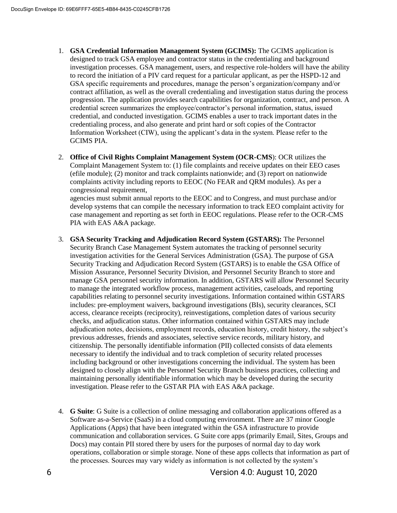- 1. **GSA Credential Information Management System (GCIMS):** The GCIMS application is designed to track GSA employee and contractor status in the credentialing and background investigation processes. GSA management, users, and respective role-holders will have the ability to record the initiation of a PIV card request for a particular applicant, as per the HSPD-12 and GSA specific requirements and procedures, manage the person's organization/company and/or contract affiliation, as well as the overall credentialing and investigation status during the process progression. The application provides search capabilities for organization, contract, and person. A credential screen summarizes the employee/contractor's personal information, status, issued credential, and conducted investigation. GCIMS enables a user to track important dates in the credentialing process, and also generate and print hard or soft copies of the Contractor Information Worksheet (CIW), using the applicant's data in the system. Please refer to the GCIMS PIA.
- 2. **Office of Civil Rights Complaint Management System (OCR-CMS**): OCR utilizes the Complaint Management System to: (1) file complaints and receive updates on their EEO cases (efile module); (2) monitor and track complaints nationwide; and (3) report on nationwide complaints activity including reports to EEOC (No FEAR and QRM modules). As per a congressional requirement,

agencies must submit annual reports to the EEOC and to Congress, and must purchase and/or develop systems that can compile the necessary information to track EEO complaint activity for case management and reporting as set forth in EEOC regulations. Please refer to the OCR-CMS PIA with EAS A&A package.

- 3. **GSA Security Tracking and Adjudication Record System (GSTARS):** The Personnel Security Branch Case Management System automates the tracking of personnel security investigation activities for the General Services Administration (GSA). The purpose of GSA Security Tracking and Adjudication Record System (GSTARS) is to enable the GSA Office of Mission Assurance, Personnel Security Division, and Personnel Security Branch to store and manage GSA personnel security information. In addition, GSTARS will allow Personnel Security to manage the integrated workflow process, management activities, caseloads, and reporting capabilities relating to personnel security investigations. Information contained within GSTARS includes: pre-employment waivers, background investigations (BIs), security clearances, SCI access, clearance receipts (reciprocity), reinvestigations, completion dates of various security checks, and adjudication status. Other information contained within GSTARS may include adjudication notes, decisions, employment records, education history, credit history, the subject's previous addresses, friends and associates, selective service records, military history, and citizenship. The personally identifiable information (PII) collected consists of data elements necessary to identify the individual and to track completion of security related processes including background or other investigations concerning the individual. The system has been designed to closely align with the Personnel Security Branch business practices, collecting and maintaining personally identifiable information which may be developed during the security investigation. Please refer to the GSTAR PIA with EAS A&A package.
- 4. **G Suite**: G Suite is a collection of online messaging and collaboration applications offered as a Software as-a-Service (SaaS) in a cloud computing environment. There are 37 minor Google Applications (Apps) that have been integrated within the GSA infrastructure to provide communication and collaboration services. G Suite core apps (primarily Email, Sites, Groups and Docs) may contain PII stored there by users for the purposes of normal day to day work operations, collaboration or simple storage. None of these apps collects that information as part of the processes. Sources may vary widely as information is not collected by the system's

6 Version 4.0: August 10, 2020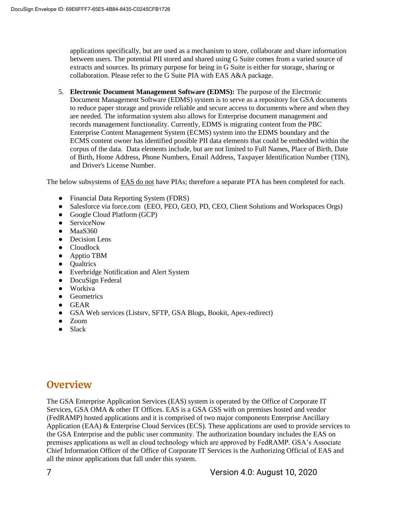applications specifically, but are used as a mechanism to store, collaborate and share information between users. The potential PII stored and shared using G Suite comes from a varied source of extracts and sources. Its primary purpose for being in G Suite is either for storage, sharing or collaboration. Please refer to the G Suite PIA with EAS A&A package.

5. **Electronic Document Management Software (EDMS):** The purpose of the Electronic Document Management Software (EDMS) system is to serve as a repository for GSA documents to reduce paper storage and provide reliable and secure access to documents where and when they are needed. The information system also allows for Enterprise document management and records management functionality. Currently, EDMS is migrating content from the PBC Enterprise Content Management System (ECMS) system into the EDMS boundary and the ECMS content owner has identified possible PII data elements that could be embedded within the corpus of the data. Data elements include, but are not limited to Full Names, Place of Birth, Date of Birth, Home Address, Phone Numbers, Email Address, Taxpayer Identification Number (TIN), and Driver's License Number.

The below subsystems of **EAS** do not have PIAs; therefore a separate PTA has been completed for each.

- Financial Data Reporting System (FDRS)
- Salesforce via force.com (EEO, PEO, GEO, PD, CEO, Client Solutions and Workspaces Orgs)
- Google Cloud Platform (GCP)
- ServiceNow
- $\bullet$  MaaS360
- Decision Lens
- Cloudlock
- Apptio TBM
- Qualtrics
- Everbridge Notification and Alert System
- DocuSign Federal
- Workiva
- Geometrics
- GEAR
- GSA Web services (Listsrv, SFTP, GSA Blogs, Bookit, Apex-redirect)
- Zoom
- Slack

# **Overview**

The GSA Enterprise Application Services (EAS) system is operated by the Office of Corporate IT Services, GSA OMA & other IT Offices. EAS is a GSA GSS with on premises hosted and vendor (FedRAMP) hosted applications and it is comprised of two major components Enterprise Ancillary Application (EAA) & Enterprise Cloud Services (ECS). These applications are used to provide services to the GSA Enterprise and the public user community. The authorization boundary includes the EAS on premises applications as well as cloud technology which are approved by FedRAMP. GSA's Associate Chief Information Officer of the Office of Corporate IT Services is the Authorizing Official of EAS and all the minor applications that fall under this system.

7 Version 4.0: August 10, 2020